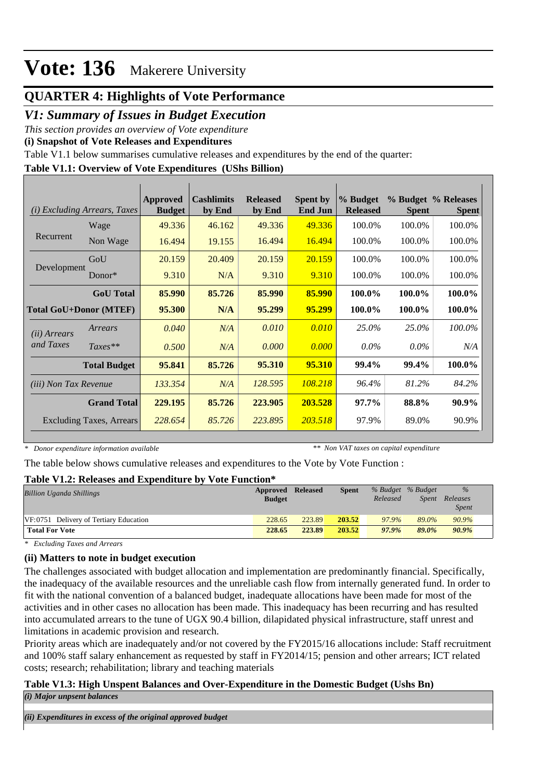## **QUARTER 4: Highlights of Vote Performance**

### *V1: Summary of Issues in Budget Execution*

*This section provides an overview of Vote expenditure* 

**(i) Snapshot of Vote Releases and Expenditures**

Table V1.1 below summarises cumulative releases and expenditures by the end of the quarter:

### **Table V1.1: Overview of Vote Expenditures (UShs Billion)**

| <b>Excluding Arrears, Taxes</b><br>(i) |                               | <b>Approved</b><br><b>Budget</b> | <b>Cashlimits</b><br>by End | <b>Released</b><br>by End | <b>Spent by</b><br><b>End Jun</b> | % Budget<br><b>Released</b> | <b>Spent</b> | % Budget % Releases<br><b>Spent</b> |
|----------------------------------------|-------------------------------|----------------------------------|-----------------------------|---------------------------|-----------------------------------|-----------------------------|--------------|-------------------------------------|
|                                        | Wage                          | 49.336                           | 46.162                      | 49.336                    | 49.336                            | 100.0%                      | 100.0%       | 100.0%                              |
| Recurrent                              | Non Wage                      | 16.494                           | 19.155                      | 16.494                    | 16.494                            | 100.0%                      | 100.0%       | 100.0%                              |
|                                        | GoU                           | 20.159                           | 20.409                      | 20.159                    | 20.159                            | 100.0%                      | 100.0%       | 100.0%                              |
| Development                            | $Donor*$                      | 9.310                            | N/A                         | 9.310                     | 9.310                             | 100.0%                      | 100.0%       | 100.0%                              |
|                                        | <b>GoU</b> Total              | 85.990                           | 85.726                      | 85,990                    | 85.990                            | 100.0%                      | 100.0%       | 100.0%                              |
|                                        | <b>Total GoU+Donor (MTEF)</b> | 95.300                           | N/A                         | 95.299                    | 95.299                            | 100.0%                      | 100.0%       | 100.0%                              |
| ( <i>ii</i> ) Arrears                  | Arrears                       | 0.040                            | N/A                         | 0.010                     | 0.010                             | 25.0%                       | 25.0%        | 100.0%                              |
| and Taxes                              | $Taxes**$                     | 0.500                            | N/A                         | 0.000                     | 0.000                             | $0.0\%$                     | $0.0\%$      | N/A                                 |
|                                        | <b>Total Budget</b>           | 95.841                           | 85.726                      | 95.310                    | 95.310                            | 99.4%                       | 99.4%        | 100.0%                              |
| (iii) Non Tax Revenue                  |                               | 133.354                          | N/A                         | 128.595                   | 108.218                           | 96.4%                       | 81.2%        | 84.2%                               |
|                                        | <b>Grand Total</b>            | 229.195                          | 85.726                      | 223.905                   | 203.528                           | $97.7\%$                    | 88.8%        | 90.9%                               |
| <b>Excluding Taxes, Arrears</b>        |                               | 228.654                          | 85.726                      | 223.895                   | 203.518                           | 97.9%                       | 89.0%        | 90.9%                               |

*\* Donor expenditure information available*

*\*\* Non VAT taxes on capital expenditure*

The table below shows cumulative releases and expenditures to the Vote by Vote Function :

#### **Table V1.2: Releases and Expenditure by Vote Function\***

| Approved      |        | Spent           |          |       | $\%$              |  |
|---------------|--------|-----------------|----------|-------|-------------------|--|
| <b>Budget</b> |        |                 | Released | Spent | Releases          |  |
|               |        |                 |          |       | <i>Spent</i>      |  |
| 228.65        | 223.89 | 203.52          | 97.9%    | 89.0% | 90.9%             |  |
| 228.65        | 223.89 | 203.52          | 97.9%    | 89.0% | 90.9%             |  |
|               |        | <b>Released</b> |          |       | % Budget % Budget |  |

*\* Excluding Taxes and Arrears*

#### **(ii) Matters to note in budget execution**

The challenges associated with budget allocation and implementation are predominantly financial. Specifically, the inadequacy of the available resources and the unreliable cash flow from internally generated fund. In order to fit with the national convention of a balanced budget, inadequate allocations have been made for most of the activities and in other cases no allocation has been made. This inadequacy has been recurring and has resulted into accumulated arrears to the tune of UGX 90.4 billion, dilapidated physical infrastructure, staff unrest and limitations in academic provision and research.

Priority areas which are inadequately and/or not covered by the FY2015/16 allocations include: Staff recruitment and 100% staff salary enhancement as requested by staff in FY2014/15; pension and other arrears; ICT related costs; research; rehabilitation; library and teaching materials

#### **Table V1.3: High Unspent Balances and Over-Expenditure in the Domestic Budget (Ushs Bn)** *(i) Major unpsent balances*

*(ii) Expenditures in excess of the original approved budget*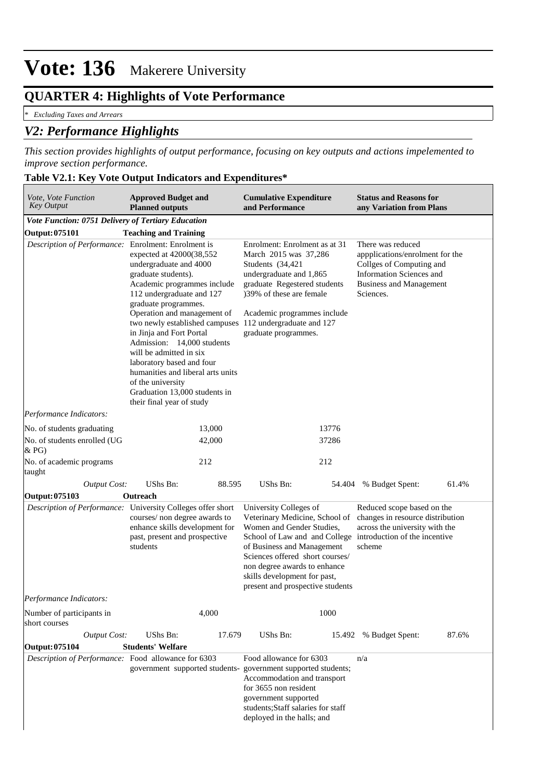# **QUARTER 4: Highlights of Vote Performance**

*\* Excluding Taxes and Arrears*

## *V2: Performance Highlights*

*This section provides highlights of output performance, focusing on key outputs and actions impelemented to improve section performance.*

#### **Table V2.1: Key Vote Output Indicators and Expenditures\***

| Vote, Vote Function<br><b>Key Output</b>                                                                                                                                    | <b>Approved Budget and</b><br><b>Planned outputs</b>                                                                                                                                                                                                                                                                                                                                                                                                                     | <b>Cumulative Expenditure</b><br>and Performance                                                                                                                                                                                                                                                                                                                                                                                        | <b>Status and Reasons for</b><br>any Variation from Plans                                                                                                   |  |  |
|-----------------------------------------------------------------------------------------------------------------------------------------------------------------------------|--------------------------------------------------------------------------------------------------------------------------------------------------------------------------------------------------------------------------------------------------------------------------------------------------------------------------------------------------------------------------------------------------------------------------------------------------------------------------|-----------------------------------------------------------------------------------------------------------------------------------------------------------------------------------------------------------------------------------------------------------------------------------------------------------------------------------------------------------------------------------------------------------------------------------------|-------------------------------------------------------------------------------------------------------------------------------------------------------------|--|--|
| Vote Function: 0751 Delivery of Tertiary Education                                                                                                                          |                                                                                                                                                                                                                                                                                                                                                                                                                                                                          |                                                                                                                                                                                                                                                                                                                                                                                                                                         |                                                                                                                                                             |  |  |
| <b>Output: 075101</b>                                                                                                                                                       | <b>Teaching and Training</b>                                                                                                                                                                                                                                                                                                                                                                                                                                             |                                                                                                                                                                                                                                                                                                                                                                                                                                         |                                                                                                                                                             |  |  |
| Description of Performance: Enrolment: Enrolment is                                                                                                                         | expected at 42000(38,552<br>undergraduate and 4000<br>graduate students).<br>Academic programmes include<br>112 undergraduate and 127<br>graduate programmes.<br>Operation and management of<br>two newly established campuses<br>in Jinja and Fort Portal<br>Admission: 14,000 students<br>will be admitted in six<br>laboratory based and four<br>humanities and liberal arts units<br>of the university<br>Graduation 13,000 students in<br>their final year of study | Enrolment: Enrolment as at 31<br>March 2015 was 37,286<br>Students (34,421<br>undergraduate and 1,865<br>graduate Regestered students<br>)39% of these are female<br>Academic programmes include<br>112 undergraduate and 127<br>graduate programmes.                                                                                                                                                                                   | There was reduced<br>appplications/enrolment for the<br>Collges of Computing and<br>Information Sciences and<br><b>Business and Management</b><br>Sciences. |  |  |
| Performance Indicators:                                                                                                                                                     |                                                                                                                                                                                                                                                                                                                                                                                                                                                                          |                                                                                                                                                                                                                                                                                                                                                                                                                                         |                                                                                                                                                             |  |  |
| No. of students graduating                                                                                                                                                  | 13,000                                                                                                                                                                                                                                                                                                                                                                                                                                                                   | 13776                                                                                                                                                                                                                                                                                                                                                                                                                                   |                                                                                                                                                             |  |  |
| No. of students enrolled (UG<br>& P <sub>G</sub>                                                                                                                            | 42,000                                                                                                                                                                                                                                                                                                                                                                                                                                                                   | 37286                                                                                                                                                                                                                                                                                                                                                                                                                                   |                                                                                                                                                             |  |  |
| No. of academic programs<br>taught                                                                                                                                          | 212                                                                                                                                                                                                                                                                                                                                                                                                                                                                      | 212                                                                                                                                                                                                                                                                                                                                                                                                                                     |                                                                                                                                                             |  |  |
| <b>Output Cost:</b>                                                                                                                                                         | UShs Bn:<br>88.595                                                                                                                                                                                                                                                                                                                                                                                                                                                       | UShs Bn:                                                                                                                                                                                                                                                                                                                                                                                                                                | 61.4%<br>54.404 % Budget Spent:                                                                                                                             |  |  |
| Output: 075103                                                                                                                                                              | Outreach                                                                                                                                                                                                                                                                                                                                                                                                                                                                 |                                                                                                                                                                                                                                                                                                                                                                                                                                         |                                                                                                                                                             |  |  |
| Description of Performance: University Colleges offer short<br>courses/ non degree awards to<br>enhance skills development for<br>past, present and prospective<br>students |                                                                                                                                                                                                                                                                                                                                                                                                                                                                          | University Colleges of<br>Reduced scope based on the<br>Veterinary Medicine, School of<br>changes in resource distribution<br>Women and Gender Studies,<br>across the university with the<br>School of Law and and College introduction of the incentive<br>scheme<br>of Business and Management<br>Sciences offered short courses/<br>non degree awards to enhance<br>skills development for past,<br>present and prospective students |                                                                                                                                                             |  |  |
| Performance Indicators:                                                                                                                                                     |                                                                                                                                                                                                                                                                                                                                                                                                                                                                          |                                                                                                                                                                                                                                                                                                                                                                                                                                         |                                                                                                                                                             |  |  |
| Number of participants in<br>short courses                                                                                                                                  | 4,000                                                                                                                                                                                                                                                                                                                                                                                                                                                                    | 1000                                                                                                                                                                                                                                                                                                                                                                                                                                    |                                                                                                                                                             |  |  |
| <b>Output Cost:</b>                                                                                                                                                         | UShs Bn:<br>17.679                                                                                                                                                                                                                                                                                                                                                                                                                                                       | UShs Bn:                                                                                                                                                                                                                                                                                                                                                                                                                                | 87.6%<br>15.492 % Budget Spent:                                                                                                                             |  |  |
| <b>Output: 075104</b>                                                                                                                                                       | <b>Students' Welfare</b>                                                                                                                                                                                                                                                                                                                                                                                                                                                 |                                                                                                                                                                                                                                                                                                                                                                                                                                         |                                                                                                                                                             |  |  |
|                                                                                                                                                                             | Description of Performance: Food allowance for 6303                                                                                                                                                                                                                                                                                                                                                                                                                      | Food allowance for 6303<br>government supported students-government supported students;<br>Accommodation and transport<br>for 3655 non resident<br>government supported<br>students; Staff salaries for staff<br>deployed in the halls; and                                                                                                                                                                                             | n/a                                                                                                                                                         |  |  |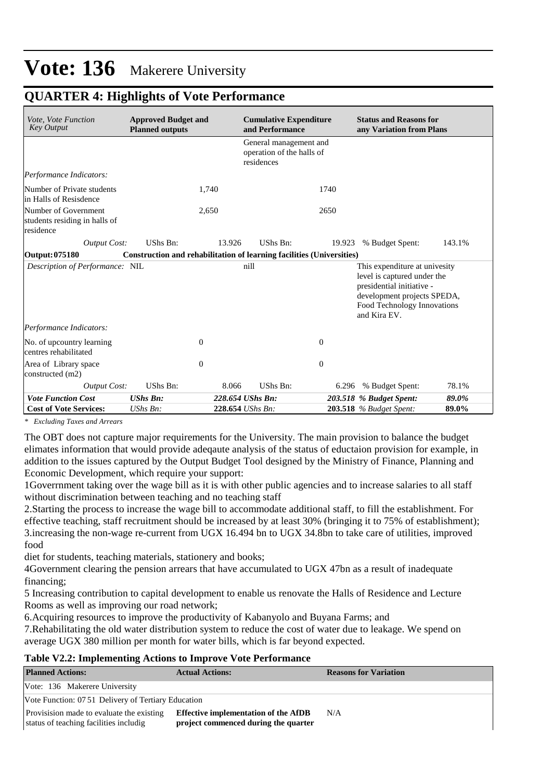| Vote, Vote Function<br><b>Key Output</b>                           | <b>Approved Budget and</b><br><b>Planned outputs</b>                  |          | <b>Cumulative Expenditure</b><br>and Performance                  |                | <b>Status and Reasons for</b><br>any Variation from Plans                                                                                                               |        |  |
|--------------------------------------------------------------------|-----------------------------------------------------------------------|----------|-------------------------------------------------------------------|----------------|-------------------------------------------------------------------------------------------------------------------------------------------------------------------------|--------|--|
|                                                                    |                                                                       |          | General management and<br>operation of the halls of<br>residences |                |                                                                                                                                                                         |        |  |
| Performance Indicators:                                            |                                                                       |          |                                                                   |                |                                                                                                                                                                         |        |  |
| Number of Private students<br>in Halls of Resisdence               |                                                                       | 1,740    |                                                                   | 1740           |                                                                                                                                                                         |        |  |
| Number of Government<br>students residing in halls of<br>residence |                                                                       | 2,650    |                                                                   | 2650           |                                                                                                                                                                         |        |  |
| <b>Output Cost:</b>                                                | <b>UShs Bn:</b>                                                       | 13.926   | UShs Bn:                                                          | 19.923         | % Budget Spent:                                                                                                                                                         | 143.1% |  |
| Output: 075180                                                     | Construction and rehabilitation of learning facilities (Universities) |          |                                                                   |                |                                                                                                                                                                         |        |  |
| Description of Performance: NIL                                    |                                                                       |          | nill                                                              |                | This expenditure at univesity<br>level is captured under the<br>presidential initiative -<br>development projects SPEDA,<br>Food Technology Innovations<br>and Kira EV. |        |  |
| Performance Indicators:                                            |                                                                       |          |                                                                   |                |                                                                                                                                                                         |        |  |
| No. of upcountry learning<br>centres rehabilitated                 |                                                                       | $\theta$ |                                                                   | $\overline{0}$ |                                                                                                                                                                         |        |  |
| Area of Library space<br>constructed (m2)                          |                                                                       | $\theta$ |                                                                   | $\theta$       |                                                                                                                                                                         |        |  |
| <b>Output Cost:</b>                                                | UShs Bn:                                                              | 8.066    | UShs Bn:                                                          |                | 6.296 % Budget Spent:                                                                                                                                                   | 78.1%  |  |
| <b>Vote Function Cost</b>                                          | <b>UShs Bn:</b>                                                       |          | 228.654 UShs Bn:                                                  |                | 203.518 % Budget Spent:                                                                                                                                                 | 89.0%  |  |
| <b>Cost of Vote Services:</b>                                      | UShs Bn:                                                              |          | 228.654 UShs Bn:                                                  |                | <b>203.518</b> % Budget Spent:                                                                                                                                          | 89.0%  |  |

### **QUARTER 4: Highlights of Vote Performance**

*\* Excluding Taxes and Arrears*

The OBT does not capture major requirements for the University. The main provision to balance the budget elimates information that would provide adeqaute analysis of the status of eductaion provision for example, in addition to the issues captured by the Output Budget Tool designed by the Ministry of Finance, Planning and Economic Development, which require your support:

1Goverrnment taking over the wage bill as it is with other public agencies and to increase salaries to all staff without discrimination between teaching and no teaching staff

2.Starting the process to increase the wage bill to accommodate additional staff, to fill the establishment. For effective teaching, staff recruitment should be increased by at least 30% (bringing it to 75% of establishment); 3.increasing the non-wage re-current from UGX 16.494 bn to UGX 34.8bn to take care of utilities, improved food

diet for students, teaching materials, stationery and books;

4Government clearing the pension arrears that have accumulated to UGX 47bn as a result of inadequate financing;

5 Increasing contribution to capital development to enable us renovate the Halls of Residence and Lecture Rooms as well as improving our road network;

6.Acquiring resources to improve the productivity of Kabanyolo and Buyana Farms; and

7.Rehabilitating the old water distribution system to reduce the cost of water due to leakage. We spend on average UGX 380 million per month for water bills, which is far beyond expected.

#### **Table V2.2: Implementing Actions to Improve Vote Performance**

| <b>Planned Actions:</b>                                                             | <b>Actual Actions:</b>                                                              | <b>Reasons for Variation</b> |  |  |  |  |  |
|-------------------------------------------------------------------------------------|-------------------------------------------------------------------------------------|------------------------------|--|--|--|--|--|
| Vote: 136 Makerere University                                                       |                                                                                     |                              |  |  |  |  |  |
| Vote Function: 07.51 Delivery of Tertiary Education                                 |                                                                                     |                              |  |  |  |  |  |
| Provisision made to evaluate the existing<br>status of teaching facilities includig | <b>Effective implementation of the AfDB</b><br>project commenced during the quarter | N/A                          |  |  |  |  |  |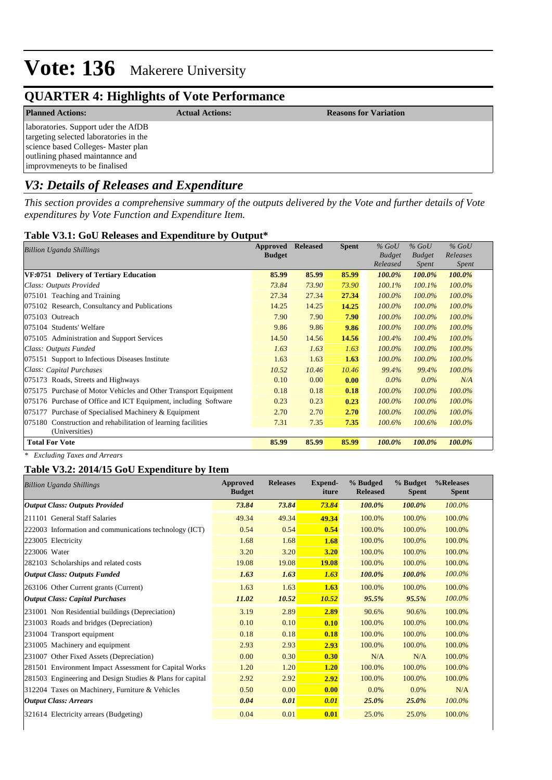## **QUARTER 4: Highlights of Vote Performance**

| <b>Planned Actions:</b>                                                                                                                                                                 | <b>Actual Actions:</b> | <b>Reasons for Variation</b> |
|-----------------------------------------------------------------------------------------------------------------------------------------------------------------------------------------|------------------------|------------------------------|
| laboratories. Support uder the AfDB<br>targeting selected laboratories in the<br>science based Colleges-Master plan<br>outlining phased maintannce and<br>improvmeneyts to be finalised |                        |                              |
| $\mathbf{U}^{n}$ . $\mathbf{D}_{n}$ $\mathbf{L}_{n}$ $\mathbf{L}_{n}$ $\mathbf{L}_{n}$ $\mathbf{D}_{n}$ $\mathbf{L}_{n}$ are so and $\mathbf{L}_{n}$ $\mathbf{L}_{n}$ $\mathbf{L}_{n}$  |                        |                              |

## *V3: Details of Releases and Expenditure*

*This section provides a comprehensive summary of the outputs delivered by the Vote and further details of Vote expenditures by Vote Function and Expenditure Item.*

### **Table V3.1: GoU Releases and Expenditure by Output\***

| Approved<br><b>Billion Uganda Shillings</b>                                        |               | <b>Released</b> | <b>Spent</b> | $%$ GoU       | $%$ GoU       | $%$ GoU      |
|------------------------------------------------------------------------------------|---------------|-----------------|--------------|---------------|---------------|--------------|
|                                                                                    | <b>Budget</b> |                 |              | <b>Budget</b> | <b>Budget</b> | Releases     |
|                                                                                    |               |                 |              | Released      | <i>Spent</i>  | <i>Spent</i> |
| VF:0751 Delivery of Tertiary Education                                             | 85.99         | 85.99           | 85.99        | 100.0%        | 100.0%        | 100.0%       |
| Class: Outputs Provided                                                            | 73.84         | 73.90           | 73.90        | 100.1%        | 100.1%        | 100.0%       |
| 075101 Teaching and Training                                                       | 27.34         | 27.34           | 27.34        | $100.0\%$     | $100.0\%$     | 100.0%       |
| 075102 Research, Consultancy and Publications                                      | 14.25         | 14.25           | 14.25        | $100.0\%$     | 100.0%        | 100.0%       |
| 075103 Outreach                                                                    | 7.90          | 7.90            | 7.90         | $100.0\%$     | $100.0\%$     | 100.0%       |
| 075104 Students' Welfare                                                           | 9.86          | 9.86            | 9.86         | 100.0%        | 100.0%        | 100.0%       |
| 075105 Administration and Support Services                                         | 14.50         | 14.56           | 14.56        | 100.4%        | 100.4%        | 100.0%       |
| Class: Outputs Funded                                                              | 1.63          | 1.63            | 1.63         | $100.0\%$     | 100.0%        | 100.0%       |
| 075151 Support to Infectious Diseases Institute                                    | 1.63          | 1.63            | 1.63         | $100.0\%$     | 100.0%        | 100.0%       |
| Class: Capital Purchases                                                           | 10.52         | 10.46           | 10.46        | 99.4%         | 99.4%         | 100.0%       |
| 075173 Roads, Streets and Highways                                                 | 0.10          | 0.00            | 0.00         | $0.0\%$       | $0.0\%$       | N/A          |
| 075175 Purchase of Motor Vehicles and Other Transport Equipment                    | 0.18          | 0.18            | 0.18         | 100.0%        | 100.0%        | 100.0%       |
| 075176 Purchase of Office and ICT Equipment, including Software                    | 0.23          | 0.23            | 0.23         | $100.0\%$     | $100.0\%$     | 100.0%       |
| Purchase of Specialised Machinery & Equipment<br>075177                            | 2.70          | 2.70            | 2.70         | 100.0%        | 100.0%        | 100.0%       |
| Construction and rehabilitation of learning facilities<br>075180<br>(Universities) | 7.31          | 7.35            | 7.35         | 100.6%        | 100.6%        | 100.0%       |
| <b>Total For Vote</b>                                                              |               | 85.99           | 85.99        | 100.0%        | 100.0%        | 100.0%       |

*\* Excluding Taxes and Arrears*

### **Table V3.2: 2014/15 GoU Expenditure by Item**

| <b>Billion Uganda Shillings</b>                           | <b>Approved</b><br><b>Budget</b> | <b>Releases</b> | Expend-<br>iture | % Budged<br><b>Released</b> | % Budget<br><b>Spent</b> | %Releases<br><b>Spent</b> |
|-----------------------------------------------------------|----------------------------------|-----------------|------------------|-----------------------------|--------------------------|---------------------------|
| <b>Output Class: Outputs Provided</b>                     | 73.84                            | 73.84           | 73.84            | 100.0%                      | 100.0%                   | $100.0\%$                 |
| 211101 General Staff Salaries                             | 49.34                            | 49.34           | 49.34            | 100.0%                      | 100.0%                   | 100.0%                    |
| 222003 Information and communications technology (ICT)    | 0.54                             | 0.54            | 0.54             | 100.0%                      | 100.0%                   | 100.0%                    |
| 223005 Electricity                                        | 1.68                             | 1.68            | 1.68             | 100.0%                      | 100.0%                   | 100.0%                    |
| 223006 Water                                              | 3.20                             | 3.20            | 3.20             | 100.0%                      | 100.0%                   | 100.0%                    |
| 282103 Scholarships and related costs                     | 19.08                            | 19.08           | <b>19.08</b>     | 100.0%                      | 100.0%                   | 100.0%                    |
| <b>Output Class: Outputs Funded</b>                       | 1.63                             | 1.63            | 1.63             | 100.0%                      | 100.0%                   | $100.0\%$                 |
| 263106 Other Current grants (Current)                     | 1.63                             | 1.63            | 1.63             | 100.0%                      | 100.0%                   | 100.0%                    |
| <b>Output Class: Capital Purchases</b>                    | 11.02                            | 10.52           | 10.52            | 95.5%                       | 95.5%                    | $100.0\%$                 |
| 231001 Non Residential buildings (Depreciation)           | 3.19                             | 2.89            | 2.89             | 90.6%                       | 90.6%                    | 100.0%                    |
| 231003 Roads and bridges (Depreciation)                   | 0.10                             | 0.10            | 0.10             | 100.0%                      | 100.0%                   | 100.0%                    |
| 231004 Transport equipment                                | 0.18                             | 0.18            | 0.18             | 100.0%                      | 100.0%                   | 100.0%                    |
| 231005 Machinery and equipment                            | 2.93                             | 2.93            | 2.93             | 100.0%                      | 100.0%                   | 100.0%                    |
| 231007 Other Fixed Assets (Depreciation)                  | 0.00                             | 0.30            | 0.30             | N/A                         | N/A                      | 100.0%                    |
| 281501 Environment Impact Assessment for Capital Works    | 1.20                             | 1.20            | 1.20             | 100.0%                      | 100.0%                   | 100.0%                    |
| 281503 Engineering and Design Studies & Plans for capital | 2.92                             | 2.92            | 2.92             | 100.0%                      | 100.0%                   | 100.0%                    |
| 312204 Taxes on Machinery, Furniture & Vehicles           | 0.50                             | 0.00            | 0.00             | 0.0%                        | 0.0%                     | N/A                       |
| <b>Output Class: Arrears</b>                              | 0.04                             | 0.01            | 0.01             | 25.0%                       | 25.0%                    | 100.0%                    |
| 321614 Electricity arrears (Budgeting)                    | 0.04                             | 0.01            | 0.01             | 25.0%                       | 25.0%                    | 100.0%                    |